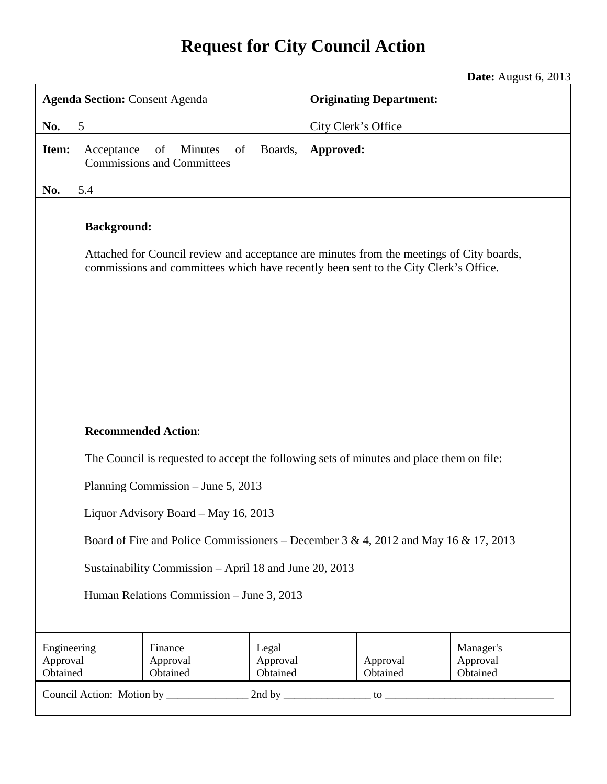# **Request for City Council Action**

**Date:** August 6, 2013

| <b>Agenda Section: Consent Agenda</b>                                               |                                                                                          |                                                                                                                                                                                  |                               | <b>Originating Department:</b> |                      |                                   |  |
|-------------------------------------------------------------------------------------|------------------------------------------------------------------------------------------|----------------------------------------------------------------------------------------------------------------------------------------------------------------------------------|-------------------------------|--------------------------------|----------------------|-----------------------------------|--|
| 5<br>No.                                                                            |                                                                                          |                                                                                                                                                                                  |                               | City Clerk's Office            |                      |                                   |  |
| Item:                                                                               | Acceptance                                                                               | of<br>of<br><b>Minutes</b><br><b>Commissions and Committees</b>                                                                                                                  | Boards,                       | Approved:                      |                      |                                   |  |
| No.                                                                                 | 5.4                                                                                      |                                                                                                                                                                                  |                               |                                |                      |                                   |  |
|                                                                                     | <b>Background:</b>                                                                       | Attached for Council review and acceptance are minutes from the meetings of City boards,<br>commissions and committees which have recently been sent to the City Clerk's Office. |                               |                                |                      |                                   |  |
| <b>Recommended Action:</b>                                                          |                                                                                          |                                                                                                                                                                                  |                               |                                |                      |                                   |  |
|                                                                                     | The Council is requested to accept the following sets of minutes and place them on file: |                                                                                                                                                                                  |                               |                                |                      |                                   |  |
|                                                                                     | Planning Commission – June 5, 2013                                                       |                                                                                                                                                                                  |                               |                                |                      |                                   |  |
|                                                                                     | Liquor Advisory Board - May 16, 2013                                                     |                                                                                                                                                                                  |                               |                                |                      |                                   |  |
| Board of Fire and Police Commissioners – December 3 & 4, 2012 and May 16 & 17, 2013 |                                                                                          |                                                                                                                                                                                  |                               |                                |                      |                                   |  |
| Sustainability Commission - April 18 and June 20, 2013                              |                                                                                          |                                                                                                                                                                                  |                               |                                |                      |                                   |  |
| Human Relations Commission - June 3, 2013                                           |                                                                                          |                                                                                                                                                                                  |                               |                                |                      |                                   |  |
|                                                                                     |                                                                                          |                                                                                                                                                                                  |                               |                                |                      |                                   |  |
| Engineering<br>Approval<br>Obtained                                                 |                                                                                          | Finance<br>Approval<br>Obtained                                                                                                                                                  | Legal<br>Approval<br>Obtained |                                | Approval<br>Obtained | Manager's<br>Approval<br>Obtained |  |
|                                                                                     |                                                                                          |                                                                                                                                                                                  |                               |                                |                      |                                   |  |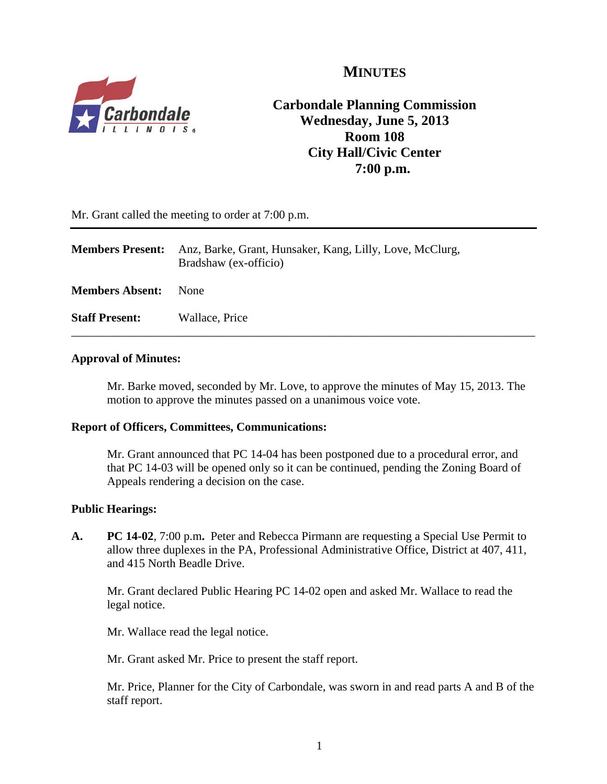

## **MINUTES**

## **Carbondale Planning Commission Wednesday, June 5, 2013 Room 108 City Hall/Civic Center 7:00 p.m.**

Mr. Grant called the meeting to order at 7:00 p.m.

| <b>Members Present:</b> | Anz, Barke, Grant, Hunsaker, Kang, Lilly, Love, McClurg,<br>Bradshaw (ex-officio) |
|-------------------------|-----------------------------------------------------------------------------------|
| <b>Members Absent:</b>  | None                                                                              |
| <b>Staff Present:</b>   | Wallace, Price                                                                    |

### **Approval of Minutes:**

Mr. Barke moved, seconded by Mr. Love, to approve the minutes of May 15, 2013. The motion to approve the minutes passed on a unanimous voice vote.

### **Report of Officers, Committees, Communications:**

Mr. Grant announced that PC 14-04 has been postponed due to a procedural error, and that PC 14-03 will be opened only so it can be continued, pending the Zoning Board of Appeals rendering a decision on the case.

### **Public Hearings:**

**A. PC 14-02**, 7:00 p.m**.** Peter and Rebecca Pirmann are requesting a Special Use Permit to allow three duplexes in the PA, Professional Administrative Office, District at 407, 411, and 415 North Beadle Drive.

Mr. Grant declared Public Hearing PC 14-02 open and asked Mr. Wallace to read the legal notice.

Mr. Wallace read the legal notice.

Mr. Grant asked Mr. Price to present the staff report.

Mr. Price, Planner for the City of Carbondale, was sworn in and read parts A and B of the staff report.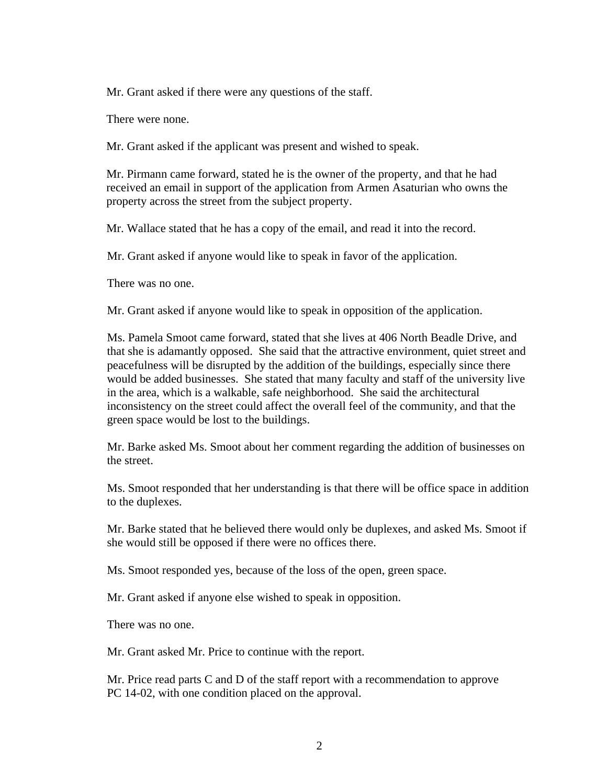Mr. Grant asked if there were any questions of the staff.

There were none.

Mr. Grant asked if the applicant was present and wished to speak.

Mr. Pirmann came forward, stated he is the owner of the property, and that he had received an email in support of the application from Armen Asaturian who owns the property across the street from the subject property.

Mr. Wallace stated that he has a copy of the email, and read it into the record.

Mr. Grant asked if anyone would like to speak in favor of the application.

There was no one.

Mr. Grant asked if anyone would like to speak in opposition of the application.

Ms. Pamela Smoot came forward, stated that she lives at 406 North Beadle Drive, and that she is adamantly opposed. She said that the attractive environment, quiet street and peacefulness will be disrupted by the addition of the buildings, especially since there would be added businesses. She stated that many faculty and staff of the university live in the area, which is a walkable, safe neighborhood. She said the architectural inconsistency on the street could affect the overall feel of the community, and that the green space would be lost to the buildings.

Mr. Barke asked Ms. Smoot about her comment regarding the addition of businesses on the street.

Ms. Smoot responded that her understanding is that there will be office space in addition to the duplexes.

Mr. Barke stated that he believed there would only be duplexes, and asked Ms. Smoot if she would still be opposed if there were no offices there.

Ms. Smoot responded yes, because of the loss of the open, green space.

Mr. Grant asked if anyone else wished to speak in opposition.

There was no one.

Mr. Grant asked Mr. Price to continue with the report.

 Mr. Price read parts C and D of the staff report with a recommendation to approve PC 14-02, with one condition placed on the approval.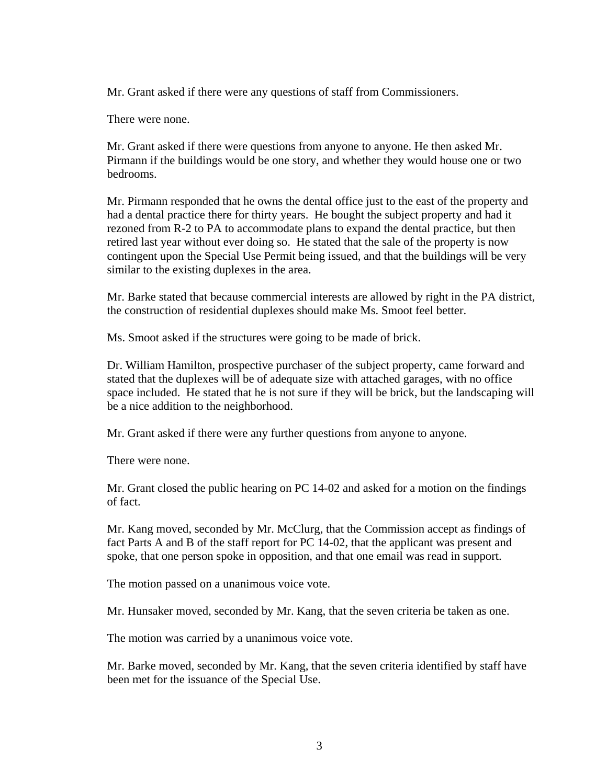Mr. Grant asked if there were any questions of staff from Commissioners.

There were none.

Mr. Grant asked if there were questions from anyone to anyone. He then asked Mr. Pirmann if the buildings would be one story, and whether they would house one or two bedrooms.

Mr. Pirmann responded that he owns the dental office just to the east of the property and had a dental practice there for thirty years. He bought the subject property and had it rezoned from R-2 to PA to accommodate plans to expand the dental practice, but then retired last year without ever doing so. He stated that the sale of the property is now contingent upon the Special Use Permit being issued, and that the buildings will be very similar to the existing duplexes in the area.

Mr. Barke stated that because commercial interests are allowed by right in the PA district, the construction of residential duplexes should make Ms. Smoot feel better.

Ms. Smoot asked if the structures were going to be made of brick.

Dr. William Hamilton, prospective purchaser of the subject property, came forward and stated that the duplexes will be of adequate size with attached garages, with no office space included. He stated that he is not sure if they will be brick, but the landscaping will be a nice addition to the neighborhood.

Mr. Grant asked if there were any further questions from anyone to anyone.

There were none.

Mr. Grant closed the public hearing on PC 14-02 and asked for a motion on the findings of fact.

Mr. Kang moved, seconded by Mr. McClurg, that the Commission accept as findings of fact Parts A and B of the staff report for PC 14-02, that the applicant was present and spoke, that one person spoke in opposition, and that one email was read in support.

The motion passed on a unanimous voice vote.

Mr. Hunsaker moved, seconded by Mr. Kang, that the seven criteria be taken as one.

The motion was carried by a unanimous voice vote.

Mr. Barke moved, seconded by Mr. Kang, that the seven criteria identified by staff have been met for the issuance of the Special Use.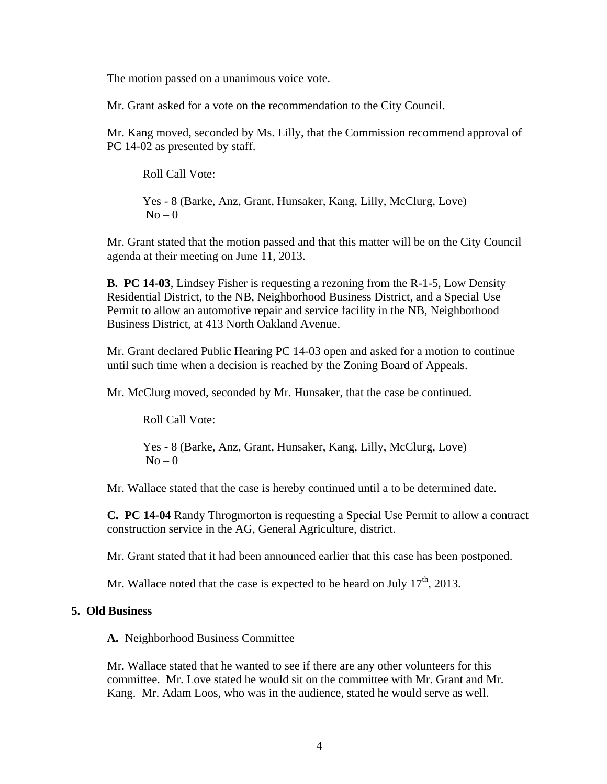The motion passed on a unanimous voice vote.

Mr. Grant asked for a vote on the recommendation to the City Council.

Mr. Kang moved, seconded by Ms. Lilly, that the Commission recommend approval of PC 14-02 as presented by staff.

Roll Call Vote:

Yes - 8 (Barke, Anz, Grant, Hunsaker, Kang, Lilly, McClurg, Love)  $No - 0$ 

Mr. Grant stated that the motion passed and that this matter will be on the City Council agenda at their meeting on June 11, 2013.

**B. PC 14-03**, Lindsey Fisher is requesting a rezoning from the R-1-5, Low Density Residential District, to the NB, Neighborhood Business District, and a Special Use Permit to allow an automotive repair and service facility in the NB, Neighborhood Business District, at 413 North Oakland Avenue.

Mr. Grant declared Public Hearing PC 14-03 open and asked for a motion to continue until such time when a decision is reached by the Zoning Board of Appeals.

Mr. McClurg moved, seconded by Mr. Hunsaker, that the case be continued.

Roll Call Vote:

Yes - 8 (Barke, Anz, Grant, Hunsaker, Kang, Lilly, McClurg, Love)  $No - 0$ 

Mr. Wallace stated that the case is hereby continued until a to be determined date.

**C. PC 14-04** Randy Throgmorton is requesting a Special Use Permit to allow a contract construction service in the AG, General Agriculture, district.

Mr. Grant stated that it had been announced earlier that this case has been postponed.

Mr. Wallace noted that the case is expected to be heard on July  $17<sup>th</sup>$ , 2013.

#### **5. Old Business**

**A.** Neighborhood Business Committee

Mr. Wallace stated that he wanted to see if there are any other volunteers for this committee. Mr. Love stated he would sit on the committee with Mr. Grant and Mr. Kang. Mr. Adam Loos, who was in the audience, stated he would serve as well.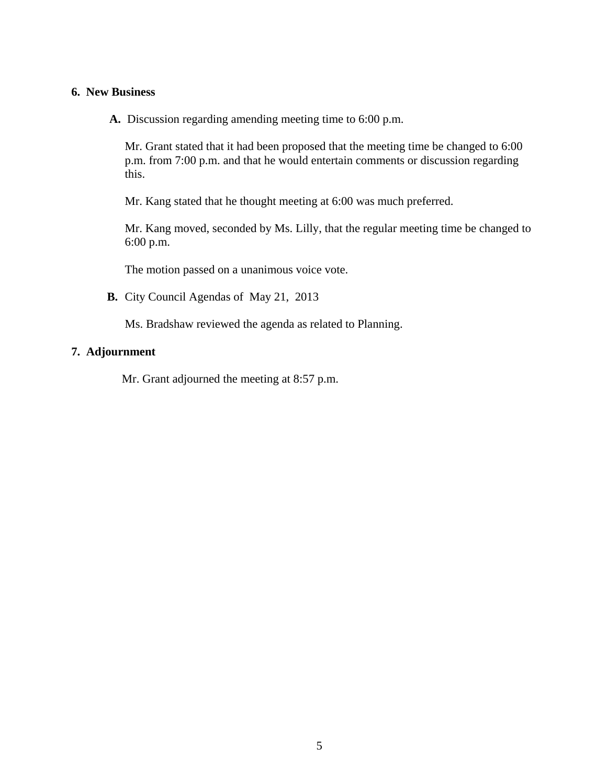#### **6. New Business**

**A.** Discussion regarding amending meeting time to 6:00 p.m.

Mr. Grant stated that it had been proposed that the meeting time be changed to 6:00 p.m. from 7:00 p.m. and that he would entertain comments or discussion regarding this.

Mr. Kang stated that he thought meeting at 6:00 was much preferred.

 Mr. Kang moved, seconded by Ms. Lilly, that the regular meeting time be changed to 6:00 p.m.

The motion passed on a unanimous voice vote.

**B.** City Council Agendas of May 21, 2013

Ms. Bradshaw reviewed the agenda as related to Planning.

### **7. Adjournment**

Mr. Grant adjourned the meeting at 8:57 p.m.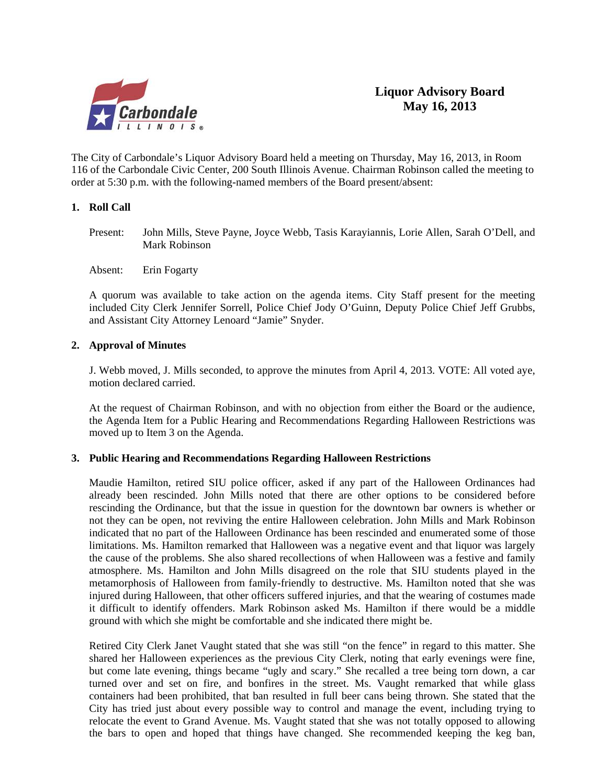

The City of Carbondale's Liquor Advisory Board held a meeting on Thursday, May 16, 2013, in Room 116 of the Carbondale Civic Center, 200 South Illinois Avenue. Chairman Robinson called the meeting to order at 5:30 p.m. with the following-named members of the Board present/absent:

#### **1. Roll Call**

Present: John Mills, Steve Payne, Joyce Webb, Tasis Karayiannis, Lorie Allen, Sarah O'Dell, and Mark Robinson

Absent: Erin Fogarty

A quorum was available to take action on the agenda items. City Staff present for the meeting included City Clerk Jennifer Sorrell, Police Chief Jody O'Guinn, Deputy Police Chief Jeff Grubbs, and Assistant City Attorney Lenoard "Jamie" Snyder.

#### **2. Approval of Minutes**

J. Webb moved, J. Mills seconded, to approve the minutes from April 4, 2013. VOTE: All voted aye, motion declared carried.

At the request of Chairman Robinson, and with no objection from either the Board or the audience, the Agenda Item for a Public Hearing and Recommendations Regarding Halloween Restrictions was moved up to Item 3 on the Agenda.

#### **3. Public Hearing and Recommendations Regarding Halloween Restrictions**

 Maudie Hamilton, retired SIU police officer, asked if any part of the Halloween Ordinances had already been rescinded. John Mills noted that there are other options to be considered before rescinding the Ordinance, but that the issue in question for the downtown bar owners is whether or not they can be open, not reviving the entire Halloween celebration. John Mills and Mark Robinson indicated that no part of the Halloween Ordinance has been rescinded and enumerated some of those limitations. Ms. Hamilton remarked that Halloween was a negative event and that liquor was largely the cause of the problems. She also shared recollections of when Halloween was a festive and family atmosphere. Ms. Hamilton and John Mills disagreed on the role that SIU students played in the metamorphosis of Halloween from family-friendly to destructive. Ms. Hamilton noted that she was injured during Halloween, that other officers suffered injuries, and that the wearing of costumes made it difficult to identify offenders. Mark Robinson asked Ms. Hamilton if there would be a middle ground with which she might be comfortable and she indicated there might be.

 Retired City Clerk Janet Vaught stated that she was still "on the fence" in regard to this matter. She shared her Halloween experiences as the previous City Clerk, noting that early evenings were fine, but come late evening, things became "ugly and scary." She recalled a tree being torn down, a car turned over and set on fire, and bonfires in the street. Ms. Vaught remarked that while glass containers had been prohibited, that ban resulted in full beer cans being thrown. She stated that the City has tried just about every possible way to control and manage the event, including trying to relocate the event to Grand Avenue. Ms. Vaught stated that she was not totally opposed to allowing the bars to open and hoped that things have changed. She recommended keeping the keg ban,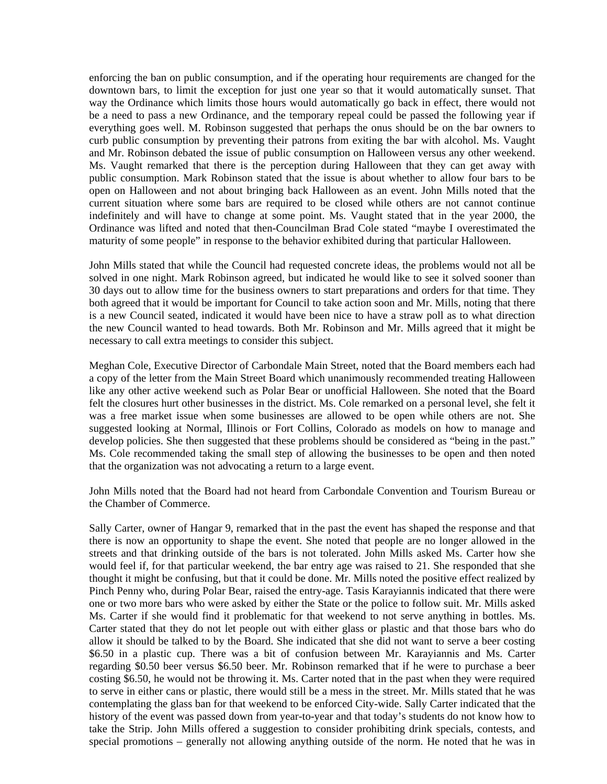enforcing the ban on public consumption, and if the operating hour requirements are changed for the downtown bars, to limit the exception for just one year so that it would automatically sunset. That way the Ordinance which limits those hours would automatically go back in effect, there would not be a need to pass a new Ordinance, and the temporary repeal could be passed the following year if everything goes well. M. Robinson suggested that perhaps the onus should be on the bar owners to curb public consumption by preventing their patrons from exiting the bar with alcohol. Ms. Vaught and Mr. Robinson debated the issue of public consumption on Halloween versus any other weekend. Ms. Vaught remarked that there is the perception during Halloween that they can get away with public consumption. Mark Robinson stated that the issue is about whether to allow four bars to be open on Halloween and not about bringing back Halloween as an event. John Mills noted that the current situation where some bars are required to be closed while others are not cannot continue indefinitely and will have to change at some point. Ms. Vaught stated that in the year 2000, the Ordinance was lifted and noted that then-Councilman Brad Cole stated "maybe I overestimated the maturity of some people" in response to the behavior exhibited during that particular Halloween.

 John Mills stated that while the Council had requested concrete ideas, the problems would not all be solved in one night. Mark Robinson agreed, but indicated he would like to see it solved sooner than 30 days out to allow time for the business owners to start preparations and orders for that time. They both agreed that it would be important for Council to take action soon and Mr. Mills, noting that there is a new Council seated, indicated it would have been nice to have a straw poll as to what direction the new Council wanted to head towards. Both Mr. Robinson and Mr. Mills agreed that it might be necessary to call extra meetings to consider this subject.

 Meghan Cole, Executive Director of Carbondale Main Street, noted that the Board members each had a copy of the letter from the Main Street Board which unanimously recommended treating Halloween like any other active weekend such as Polar Bear or unofficial Halloween. She noted that the Board felt the closures hurt other businesses in the district. Ms. Cole remarked on a personal level, she felt it was a free market issue when some businesses are allowed to be open while others are not. She suggested looking at Normal, Illinois or Fort Collins, Colorado as models on how to manage and develop policies. She then suggested that these problems should be considered as "being in the past." Ms. Cole recommended taking the small step of allowing the businesses to be open and then noted that the organization was not advocating a return to a large event.

 John Mills noted that the Board had not heard from Carbondale Convention and Tourism Bureau or the Chamber of Commerce.

 Sally Carter, owner of Hangar 9, remarked that in the past the event has shaped the response and that there is now an opportunity to shape the event. She noted that people are no longer allowed in the streets and that drinking outside of the bars is not tolerated. John Mills asked Ms. Carter how she would feel if, for that particular weekend, the bar entry age was raised to 21. She responded that she thought it might be confusing, but that it could be done. Mr. Mills noted the positive effect realized by Pinch Penny who, during Polar Bear, raised the entry-age. Tasis Karayiannis indicated that there were one or two more bars who were asked by either the State or the police to follow suit. Mr. Mills asked Ms. Carter if she would find it problematic for that weekend to not serve anything in bottles. Ms. Carter stated that they do not let people out with either glass or plastic and that those bars who do allow it should be talked to by the Board. She indicated that she did not want to serve a beer costing \$6.50 in a plastic cup. There was a bit of confusion between Mr. Karayiannis and Ms. Carter regarding \$0.50 beer versus \$6.50 beer. Mr. Robinson remarked that if he were to purchase a beer costing \$6.50, he would not be throwing it. Ms. Carter noted that in the past when they were required to serve in either cans or plastic, there would still be a mess in the street. Mr. Mills stated that he was contemplating the glass ban for that weekend to be enforced City-wide. Sally Carter indicated that the history of the event was passed down from year-to-year and that today's students do not know how to take the Strip. John Mills offered a suggestion to consider prohibiting drink specials, contests, and special promotions – generally not allowing anything outside of the norm. He noted that he was in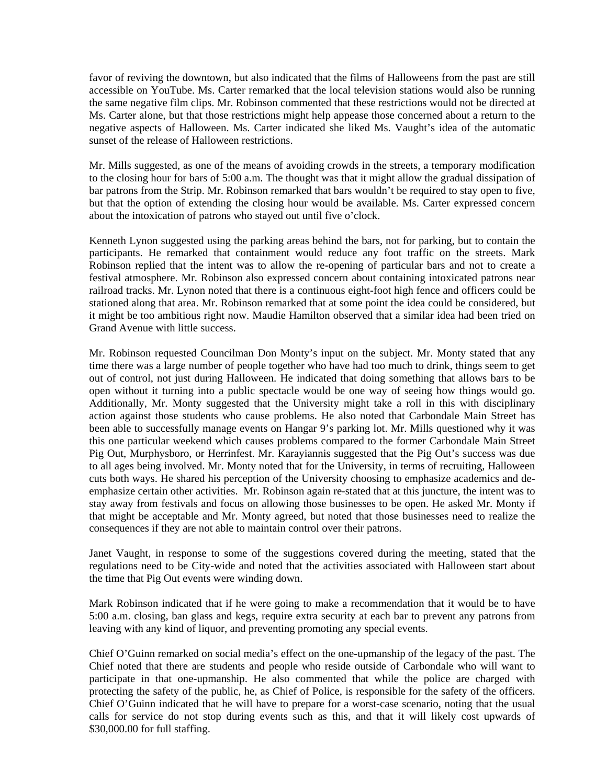favor of reviving the downtown, but also indicated that the films of Halloweens from the past are still accessible on YouTube. Ms. Carter remarked that the local television stations would also be running the same negative film clips. Mr. Robinson commented that these restrictions would not be directed at Ms. Carter alone, but that those restrictions might help appease those concerned about a return to the negative aspects of Halloween. Ms. Carter indicated she liked Ms. Vaught's idea of the automatic sunset of the release of Halloween restrictions.

 Mr. Mills suggested, as one of the means of avoiding crowds in the streets, a temporary modification to the closing hour for bars of 5:00 a.m. The thought was that it might allow the gradual dissipation of bar patrons from the Strip. Mr. Robinson remarked that bars wouldn't be required to stay open to five, but that the option of extending the closing hour would be available. Ms. Carter expressed concern about the intoxication of patrons who stayed out until five o'clock.

 Kenneth Lynon suggested using the parking areas behind the bars, not for parking, but to contain the participants. He remarked that containment would reduce any foot traffic on the streets. Mark Robinson replied that the intent was to allow the re-opening of particular bars and not to create a festival atmosphere. Mr. Robinson also expressed concern about containing intoxicated patrons near railroad tracks. Mr. Lynon noted that there is a continuous eight-foot high fence and officers could be stationed along that area. Mr. Robinson remarked that at some point the idea could be considered, but it might be too ambitious right now. Maudie Hamilton observed that a similar idea had been tried on Grand Avenue with little success.

 Mr. Robinson requested Councilman Don Monty's input on the subject. Mr. Monty stated that any time there was a large number of people together who have had too much to drink, things seem to get out of control, not just during Halloween. He indicated that doing something that allows bars to be open without it turning into a public spectacle would be one way of seeing how things would go. Additionally, Mr. Monty suggested that the University might take a roll in this with disciplinary action against those students who cause problems. He also noted that Carbondale Main Street has been able to successfully manage events on Hangar 9's parking lot. Mr. Mills questioned why it was this one particular weekend which causes problems compared to the former Carbondale Main Street Pig Out, Murphysboro, or Herrinfest. Mr. Karayiannis suggested that the Pig Out's success was due to all ages being involved. Mr. Monty noted that for the University, in terms of recruiting, Halloween cuts both ways. He shared his perception of the University choosing to emphasize academics and deemphasize certain other activities. Mr. Robinson again re-stated that at this juncture, the intent was to stay away from festivals and focus on allowing those businesses to be open. He asked Mr. Monty if that might be acceptable and Mr. Monty agreed, but noted that those businesses need to realize the consequences if they are not able to maintain control over their patrons.

 Janet Vaught, in response to some of the suggestions covered during the meeting, stated that the regulations need to be City-wide and noted that the activities associated with Halloween start about the time that Pig Out events were winding down.

 Mark Robinson indicated that if he were going to make a recommendation that it would be to have 5:00 a.m. closing, ban glass and kegs, require extra security at each bar to prevent any patrons from leaving with any kind of liquor, and preventing promoting any special events.

 Chief O'Guinn remarked on social media's effect on the one-upmanship of the legacy of the past. The Chief noted that there are students and people who reside outside of Carbondale who will want to participate in that one-upmanship. He also commented that while the police are charged with protecting the safety of the public, he, as Chief of Police, is responsible for the safety of the officers. Chief O'Guinn indicated that he will have to prepare for a worst-case scenario, noting that the usual calls for service do not stop during events such as this, and that it will likely cost upwards of \$30,000.00 for full staffing.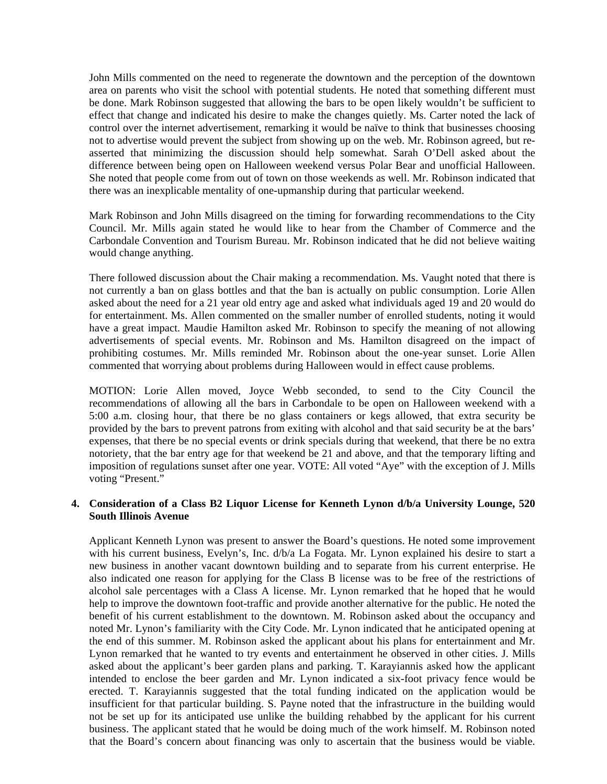John Mills commented on the need to regenerate the downtown and the perception of the downtown area on parents who visit the school with potential students. He noted that something different must be done. Mark Robinson suggested that allowing the bars to be open likely wouldn't be sufficient to effect that change and indicated his desire to make the changes quietly. Ms. Carter noted the lack of control over the internet advertisement, remarking it would be naïve to think that businesses choosing not to advertise would prevent the subject from showing up on the web. Mr. Robinson agreed, but reasserted that minimizing the discussion should help somewhat. Sarah O'Dell asked about the difference between being open on Halloween weekend versus Polar Bear and unofficial Halloween. She noted that people come from out of town on those weekends as well. Mr. Robinson indicated that there was an inexplicable mentality of one-upmanship during that particular weekend.

 Mark Robinson and John Mills disagreed on the timing for forwarding recommendations to the City Council. Mr. Mills again stated he would like to hear from the Chamber of Commerce and the Carbondale Convention and Tourism Bureau. Mr. Robinson indicated that he did not believe waiting would change anything.

 There followed discussion about the Chair making a recommendation. Ms. Vaught noted that there is not currently a ban on glass bottles and that the ban is actually on public consumption. Lorie Allen asked about the need for a 21 year old entry age and asked what individuals aged 19 and 20 would do for entertainment. Ms. Allen commented on the smaller number of enrolled students, noting it would have a great impact. Maudie Hamilton asked Mr. Robinson to specify the meaning of not allowing advertisements of special events. Mr. Robinson and Ms. Hamilton disagreed on the impact of prohibiting costumes. Mr. Mills reminded Mr. Robinson about the one-year sunset. Lorie Allen commented that worrying about problems during Halloween would in effect cause problems.

 MOTION: Lorie Allen moved, Joyce Webb seconded, to send to the City Council the recommendations of allowing all the bars in Carbondale to be open on Halloween weekend with a 5:00 a.m. closing hour, that there be no glass containers or kegs allowed, that extra security be provided by the bars to prevent patrons from exiting with alcohol and that said security be at the bars' expenses, that there be no special events or drink specials during that weekend, that there be no extra notoriety, that the bar entry age for that weekend be 21 and above, and that the temporary lifting and imposition of regulations sunset after one year. VOTE: All voted "Aye" with the exception of J. Mills voting "Present."

#### **4. Consideration of a Class B2 Liquor License for Kenneth Lynon d/b/a University Lounge, 520 South Illinois Avenue**

 Applicant Kenneth Lynon was present to answer the Board's questions. He noted some improvement with his current business, Evelyn's, Inc. d/b/a La Fogata. Mr. Lynon explained his desire to start a new business in another vacant downtown building and to separate from his current enterprise. He also indicated one reason for applying for the Class B license was to be free of the restrictions of alcohol sale percentages with a Class A license. Mr. Lynon remarked that he hoped that he would help to improve the downtown foot-traffic and provide another alternative for the public. He noted the benefit of his current establishment to the downtown. M. Robinson asked about the occupancy and noted Mr. Lynon's familiarity with the City Code. Mr. Lynon indicated that he anticipated opening at the end of this summer. M. Robinson asked the applicant about his plans for entertainment and Mr. Lynon remarked that he wanted to try events and entertainment he observed in other cities. J. Mills asked about the applicant's beer garden plans and parking. T. Karayiannis asked how the applicant intended to enclose the beer garden and Mr. Lynon indicated a six-foot privacy fence would be erected. T. Karayiannis suggested that the total funding indicated on the application would be insufficient for that particular building. S. Payne noted that the infrastructure in the building would not be set up for its anticipated use unlike the building rehabbed by the applicant for his current business. The applicant stated that he would be doing much of the work himself. M. Robinson noted that the Board's concern about financing was only to ascertain that the business would be viable.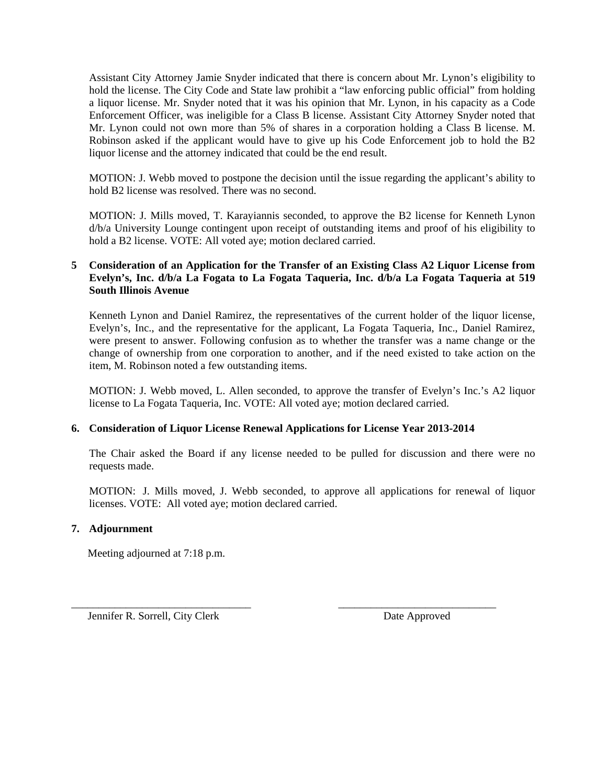Assistant City Attorney Jamie Snyder indicated that there is concern about Mr. Lynon's eligibility to hold the license. The City Code and State law prohibit a "law enforcing public official" from holding a liquor license. Mr. Snyder noted that it was his opinion that Mr. Lynon, in his capacity as a Code Enforcement Officer, was ineligible for a Class B license. Assistant City Attorney Snyder noted that Mr. Lynon could not own more than 5% of shares in a corporation holding a Class B license. M. Robinson asked if the applicant would have to give up his Code Enforcement job to hold the B2 liquor license and the attorney indicated that could be the end result.

 MOTION: J. Webb moved to postpone the decision until the issue regarding the applicant's ability to hold B2 license was resolved. There was no second.

 MOTION: J. Mills moved, T. Karayiannis seconded, to approve the B2 license for Kenneth Lynon d/b/a University Lounge contingent upon receipt of outstanding items and proof of his eligibility to hold a B2 license. VOTE: All voted aye; motion declared carried.

#### **5 Consideration of an Application for the Transfer of an Existing Class A2 Liquor License from Evelyn's, Inc. d/b/a La Fogata to La Fogata Taqueria, Inc. d/b/a La Fogata Taqueria at 519 South Illinois Avenue**

Kenneth Lynon and Daniel Ramirez, the representatives of the current holder of the liquor license, Evelyn's, Inc., and the representative for the applicant, La Fogata Taqueria, Inc., Daniel Ramirez, were present to answer. Following confusion as to whether the transfer was a name change or the change of ownership from one corporation to another, and if the need existed to take action on the item, M. Robinson noted a few outstanding items.

 MOTION: J. Webb moved, L. Allen seconded, to approve the transfer of Evelyn's Inc.'s A2 liquor license to La Fogata Taqueria, Inc. VOTE: All voted aye; motion declared carried.

#### **6. Consideration of Liquor License Renewal Applications for License Year 2013-2014**

\_\_\_\_\_\_\_\_\_\_\_\_\_\_\_\_\_\_\_\_\_\_\_\_\_\_\_\_\_\_\_\_\_ \_\_\_\_\_\_\_\_\_\_\_\_\_\_\_\_\_\_\_\_\_\_\_\_\_\_\_\_\_

 The Chair asked the Board if any license needed to be pulled for discussion and there were no requests made.

 MOTION: J. Mills moved, J. Webb seconded, to approve all applications for renewal of liquor licenses. VOTE: All voted aye; motion declared carried.

#### **7. Adjournment**

Meeting adjourned at 7:18 p.m.

Jennifer R. Sorrell, City Clerk Date Approved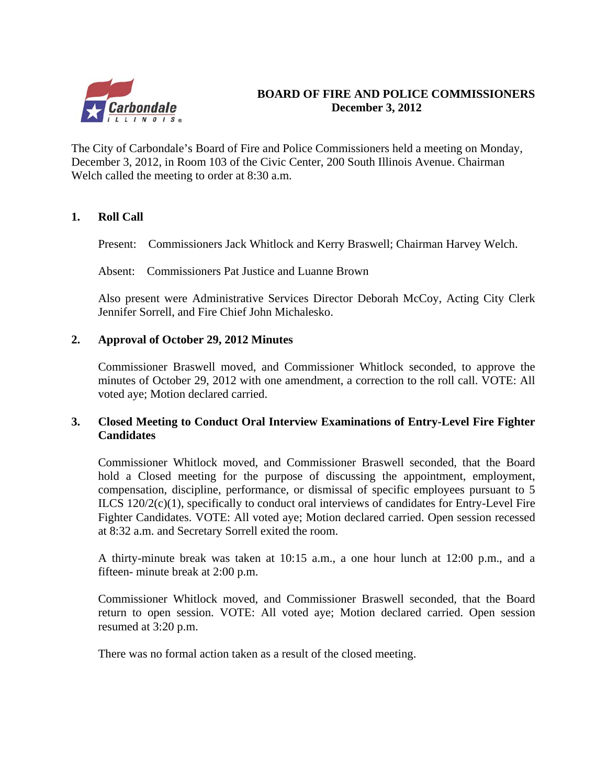

## **BOARD OF FIRE AND POLICE COMMISSIONERS December 3, 2012**

The City of Carbondale's Board of Fire and Police Commissioners held a meeting on Monday, December 3, 2012, in Room 103 of the Civic Center, 200 South Illinois Avenue. Chairman Welch called the meeting to order at 8:30 a.m.

## **1. Roll Call**

Present: Commissioners Jack Whitlock and Kerry Braswell; Chairman Harvey Welch.

Absent: Commissioners Pat Justice and Luanne Brown

Also present were Administrative Services Director Deborah McCoy, Acting City Clerk Jennifer Sorrell, and Fire Chief John Michalesko.

## **2. Approval of October 29, 2012 Minutes**

 Commissioner Braswell moved, and Commissioner Whitlock seconded, to approve the minutes of October 29, 2012 with one amendment, a correction to the roll call. VOTE: All voted aye; Motion declared carried.

## **3. Closed Meeting to Conduct Oral Interview Examinations of Entry-Level Fire Fighter Candidates**

 Commissioner Whitlock moved, and Commissioner Braswell seconded, that the Board hold a Closed meeting for the purpose of discussing the appointment, employment, compensation, discipline, performance, or dismissal of specific employees pursuant to 5 ILCS 120/2(c)(1), specifically to conduct oral interviews of candidates for Entry-Level Fire Fighter Candidates. VOTE: All voted aye; Motion declared carried. Open session recessed at 8:32 a.m. and Secretary Sorrell exited the room.

 A thirty-minute break was taken at 10:15 a.m., a one hour lunch at 12:00 p.m., and a fifteen- minute break at 2:00 p.m.

 Commissioner Whitlock moved, and Commissioner Braswell seconded, that the Board return to open session. VOTE: All voted aye; Motion declared carried. Open session resumed at 3:20 p.m.

There was no formal action taken as a result of the closed meeting.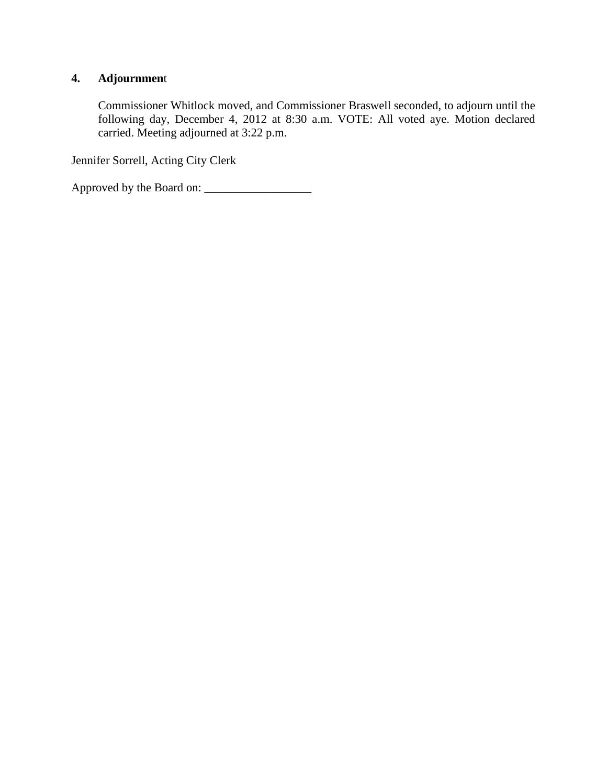## **4. Adjournmen**t

Commissioner Whitlock moved, and Commissioner Braswell seconded, to adjourn until the following day, December 4, 2012 at 8:30 a.m. VOTE: All voted aye. Motion declared carried. Meeting adjourned at 3:22 p.m.

Jennifer Sorrell, Acting City Clerk

Approved by the Board on: \_\_\_\_\_\_\_\_\_\_\_\_\_\_\_\_\_\_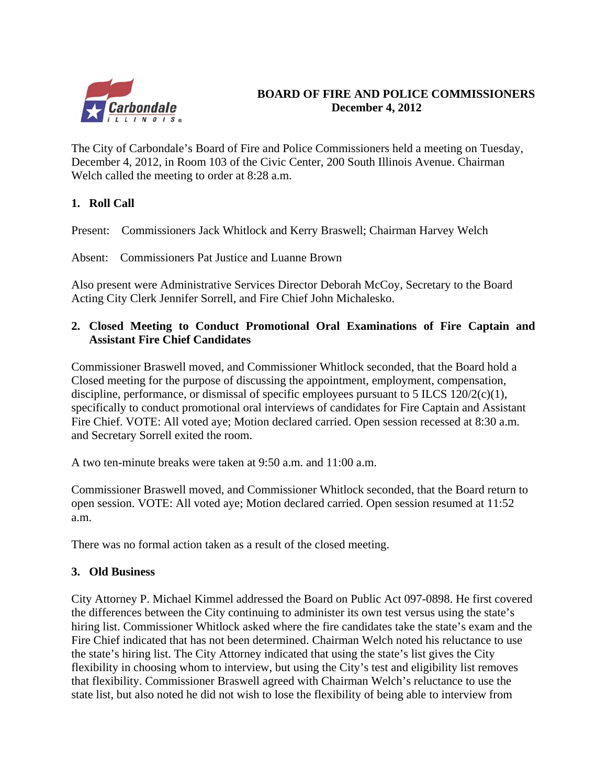

## **BOARD OF FIRE AND POLICE COMMISSIONERS December 4, 2012**

The City of Carbondale's Board of Fire and Police Commissioners held a meeting on Tuesday, December 4, 2012, in Room 103 of the Civic Center, 200 South Illinois Avenue. Chairman Welch called the meeting to order at 8:28 a.m.

## **1. Roll Call**

Present: Commissioners Jack Whitlock and Kerry Braswell; Chairman Harvey Welch

Absent: Commissioners Pat Justice and Luanne Brown

Also present were Administrative Services Director Deborah McCoy, Secretary to the Board Acting City Clerk Jennifer Sorrell, and Fire Chief John Michalesko.

## **2. Closed Meeting to Conduct Promotional Oral Examinations of Fire Captain and Assistant Fire Chief Candidates**

Commissioner Braswell moved, and Commissioner Whitlock seconded, that the Board hold a Closed meeting for the purpose of discussing the appointment, employment, compensation, discipline, performance, or dismissal of specific employees pursuant to 5 ILCS 120/2(c)(1), specifically to conduct promotional oral interviews of candidates for Fire Captain and Assistant Fire Chief. VOTE: All voted aye; Motion declared carried. Open session recessed at 8:30 a.m. and Secretary Sorrell exited the room.

A two ten-minute breaks were taken at 9:50 a.m. and 11:00 a.m.

Commissioner Braswell moved, and Commissioner Whitlock seconded, that the Board return to open session. VOTE: All voted aye; Motion declared carried. Open session resumed at 11:52 a.m.

There was no formal action taken as a result of the closed meeting.

## **3. Old Business**

City Attorney P. Michael Kimmel addressed the Board on Public Act 097-0898. He first covered the differences between the City continuing to administer its own test versus using the state's hiring list. Commissioner Whitlock asked where the fire candidates take the state's exam and the Fire Chief indicated that has not been determined. Chairman Welch noted his reluctance to use the state's hiring list. The City Attorney indicated that using the state's list gives the City flexibility in choosing whom to interview, but using the City's test and eligibility list removes that flexibility. Commissioner Braswell agreed with Chairman Welch's reluctance to use the state list, but also noted he did not wish to lose the flexibility of being able to interview from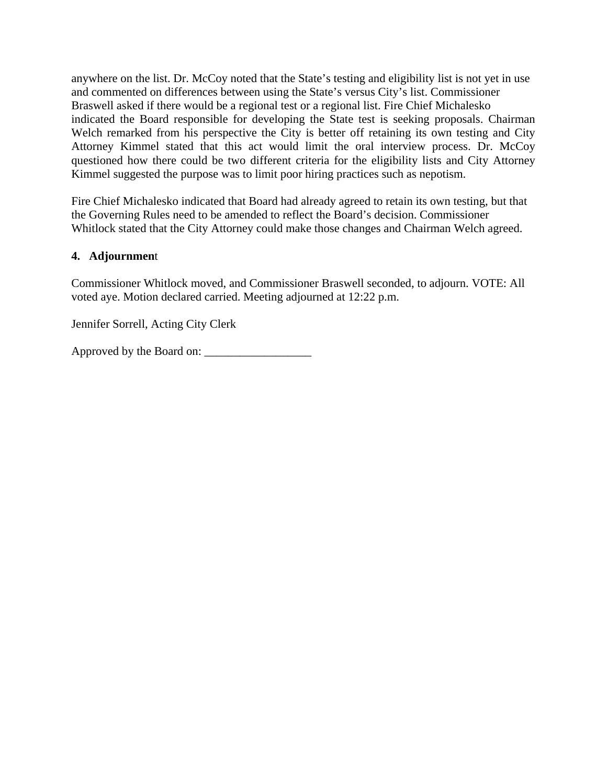anywhere on the list. Dr. McCoy noted that the State's testing and eligibility list is not yet in use and commented on differences between using the State's versus City's list. Commissioner Braswell asked if there would be a regional test or a regional list. Fire Chief Michalesko indicated the Board responsible for developing the State test is seeking proposals. Chairman Welch remarked from his perspective the City is better off retaining its own testing and City Attorney Kimmel stated that this act would limit the oral interview process. Dr. McCoy questioned how there could be two different criteria for the eligibility lists and City Attorney Kimmel suggested the purpose was to limit poor hiring practices such as nepotism.

Fire Chief Michalesko indicated that Board had already agreed to retain its own testing, but that the Governing Rules need to be amended to reflect the Board's decision. Commissioner Whitlock stated that the City Attorney could make those changes and Chairman Welch agreed.

## **4. Adjournmen**t

Commissioner Whitlock moved, and Commissioner Braswell seconded, to adjourn. VOTE: All voted aye. Motion declared carried. Meeting adjourned at 12:22 p.m.

Jennifer Sorrell, Acting City Clerk

Approved by the Board on: \_\_\_\_\_\_\_\_\_\_\_\_\_\_\_\_\_\_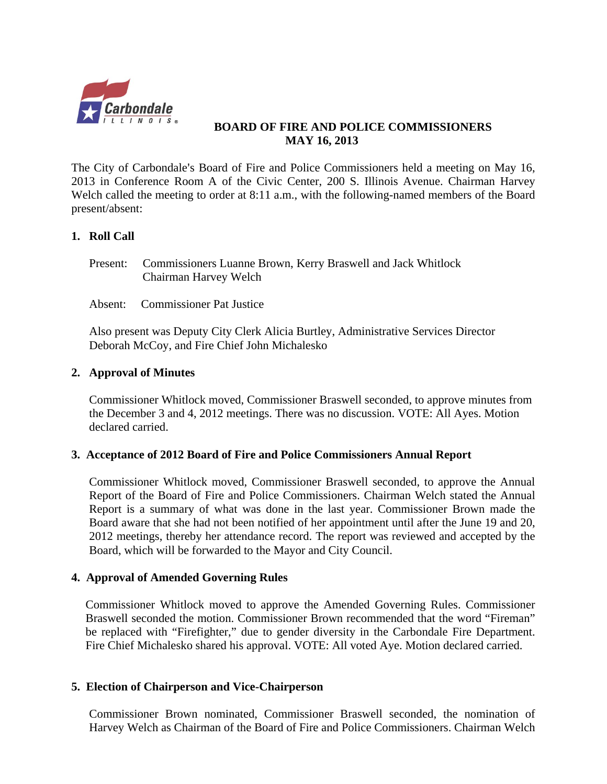

## **BOARD OF FIRE AND POLICE COMMISSIONERS MAY 16, 2013**

The City of Carbondale's Board of Fire and Police Commissioners held a meeting on May 16, 2013 in Conference Room A of the Civic Center, 200 S. Illinois Avenue. Chairman Harvey Welch called the meeting to order at 8:11 a.m., with the following-named members of the Board present/absent:

## **1. Roll Call**

- Present: Commissioners Luanne Brown, Kerry Braswell and Jack Whitlock Chairman Harvey Welch
- Absent: Commissioner Pat Justice

Also present was Deputy City Clerk Alicia Burtley, Administrative Services Director Deborah McCoy, and Fire Chief John Michalesko

### **2. Approval of Minutes**

Commissioner Whitlock moved, Commissioner Braswell seconded, to approve minutes from the December 3 and 4, 2012 meetings. There was no discussion. VOTE: All Ayes. Motion declared carried.

### **3. Acceptance of 2012 Board of Fire and Police Commissioners Annual Report**

Commissioner Whitlock moved, Commissioner Braswell seconded, to approve the Annual Report of the Board of Fire and Police Commissioners. Chairman Welch stated the Annual Report is a summary of what was done in the last year. Commissioner Brown made the Board aware that she had not been notified of her appointment until after the June 19 and 20, 2012 meetings, thereby her attendance record. The report was reviewed and accepted by the Board, which will be forwarded to the Mayor and City Council.

## **4. Approval of Amended Governing Rules**

Commissioner Whitlock moved to approve the Amended Governing Rules. Commissioner Braswell seconded the motion. Commissioner Brown recommended that the word "Fireman" be replaced with "Firefighter," due to gender diversity in the Carbondale Fire Department. Fire Chief Michalesko shared his approval. VOTE: All voted Aye. Motion declared carried.

### **5. Election of Chairperson and Vice-Chairperson**

Commissioner Brown nominated, Commissioner Braswell seconded, the nomination of Harvey Welch as Chairman of the Board of Fire and Police Commissioners. Chairman Welch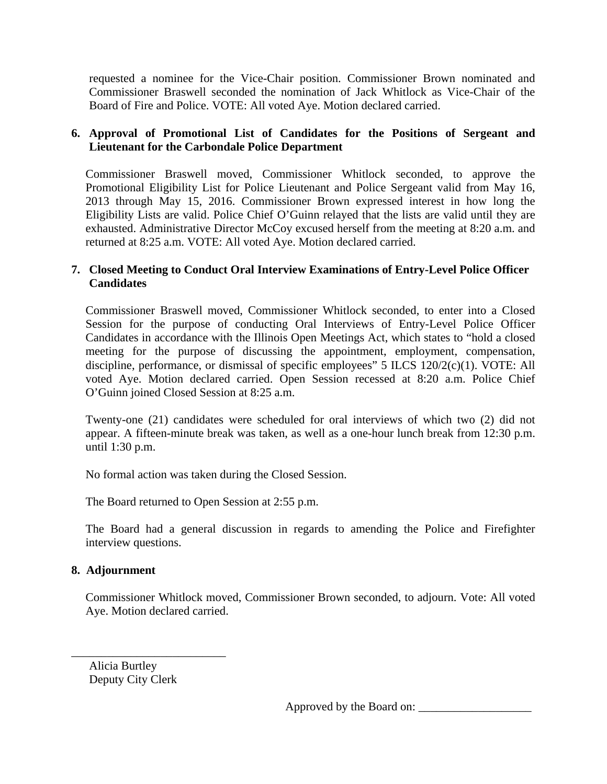requested a nominee for the Vice-Chair position. Commissioner Brown nominated and Commissioner Braswell seconded the nomination of Jack Whitlock as Vice-Chair of the Board of Fire and Police. VOTE: All voted Aye. Motion declared carried.

## **6. Approval of Promotional List of Candidates for the Positions of Sergeant and Lieutenant for the Carbondale Police Department**

Commissioner Braswell moved, Commissioner Whitlock seconded, to approve the Promotional Eligibility List for Police Lieutenant and Police Sergeant valid from May 16, 2013 through May 15, 2016. Commissioner Brown expressed interest in how long the Eligibility Lists are valid. Police Chief O'Guinn relayed that the lists are valid until they are exhausted. Administrative Director McCoy excused herself from the meeting at 8:20 a.m. and returned at 8:25 a.m. VOTE: All voted Aye. Motion declared carried.

## **7. Closed Meeting to Conduct Oral Interview Examinations of Entry-Level Police Officer Candidates**

Commissioner Braswell moved, Commissioner Whitlock seconded, to enter into a Closed Session for the purpose of conducting Oral Interviews of Entry-Level Police Officer Candidates in accordance with the Illinois Open Meetings Act, which states to "hold a closed meeting for the purpose of discussing the appointment, employment, compensation, discipline, performance, or dismissal of specific employees" 5 ILCS 120/2(c)(1). VOTE: All voted Aye. Motion declared carried. Open Session recessed at 8:20 a.m. Police Chief O'Guinn joined Closed Session at 8:25 a.m.

Twenty-one (21) candidates were scheduled for oral interviews of which two (2) did not appear. A fifteen-minute break was taken, as well as a one-hour lunch break from 12:30 p.m. until 1:30 p.m.

No formal action was taken during the Closed Session.

The Board returned to Open Session at 2:55 p.m.

The Board had a general discussion in regards to amending the Police and Firefighter interview questions.

## **8. Adjournment**

Commissioner Whitlock moved, Commissioner Brown seconded, to adjourn. Vote: All voted Aye. Motion declared carried.

 Alicia Burtley Deputy City Clerk

\_\_\_\_\_\_\_\_\_\_\_\_\_\_\_\_\_\_\_\_\_\_\_\_\_\_

Approved by the Board on: \_\_\_\_\_\_\_\_\_\_\_\_\_\_\_\_\_\_\_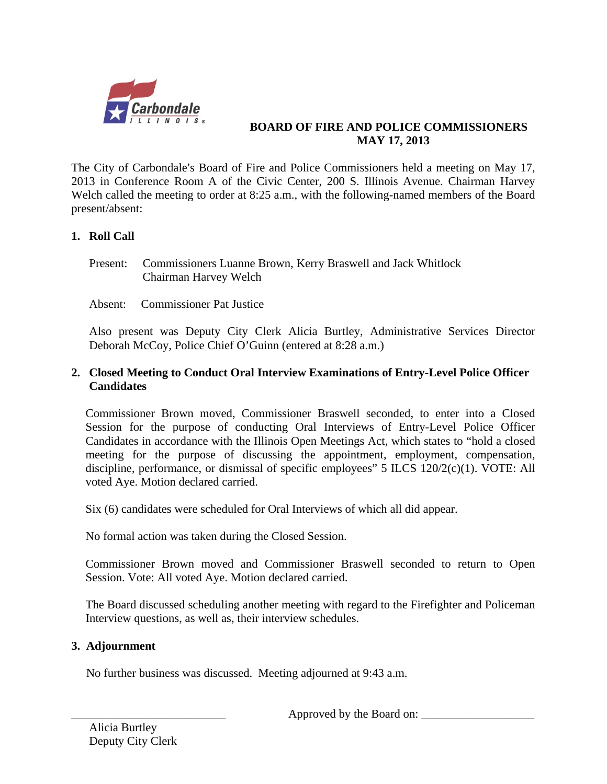

## **BOARD OF FIRE AND POLICE COMMISSIONERS MAY 17, 2013**

The City of Carbondale's Board of Fire and Police Commissioners held a meeting on May 17, 2013 in Conference Room A of the Civic Center, 200 S. Illinois Avenue. Chairman Harvey Welch called the meeting to order at 8:25 a.m., with the following-named members of the Board present/absent:

## **1. Roll Call**

- Present: Commissioners Luanne Brown, Kerry Braswell and Jack Whitlock Chairman Harvey Welch
- Absent: Commissioner Pat Justice

Also present was Deputy City Clerk Alicia Burtley, Administrative Services Director Deborah McCoy, Police Chief O'Guinn (entered at 8:28 a.m.)

## **2. Closed Meeting to Conduct Oral Interview Examinations of Entry-Level Police Officer Candidates**

Commissioner Brown moved, Commissioner Braswell seconded, to enter into a Closed Session for the purpose of conducting Oral Interviews of Entry-Level Police Officer Candidates in accordance with the Illinois Open Meetings Act, which states to "hold a closed meeting for the purpose of discussing the appointment, employment, compensation, discipline, performance, or dismissal of specific employees" 5 ILCS 120/2(c)(1). VOTE: All voted Aye. Motion declared carried.

Six (6) candidates were scheduled for Oral Interviews of which all did appear.

No formal action was taken during the Closed Session.

Commissioner Brown moved and Commissioner Braswell seconded to return to Open Session. Vote: All voted Aye. Motion declared carried.

The Board discussed scheduling another meeting with regard to the Firefighter and Policeman Interview questions, as well as, their interview schedules.

## **3. Adjournment**

No further business was discussed. Meeting adjourned at 9:43 a.m.

Approved by the Board on: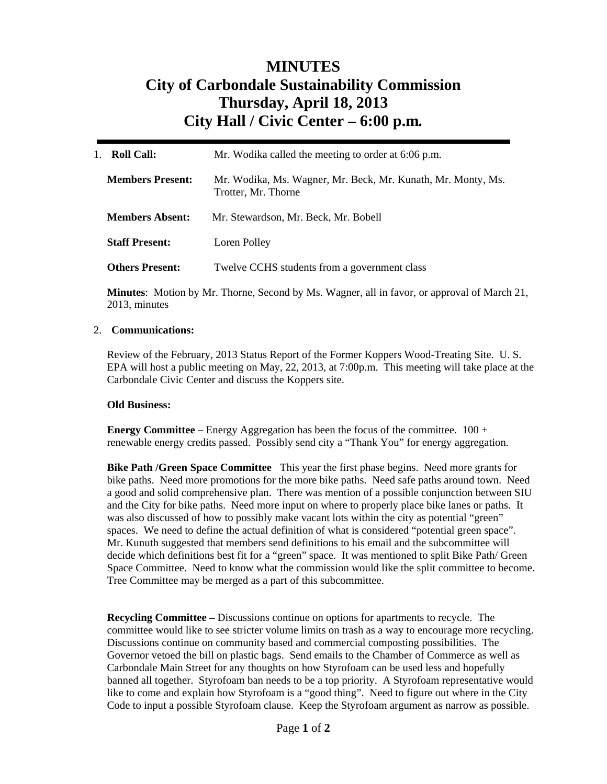## **MINUTES City of Carbondale Sustainability Commission Thursday, April 18, 2013 City Hall / Civic Center – 6:00 p.m***.*

| <b>Roll Call:</b><br>1. | Mr. Wodika called the meeting to order at 6:06 p.m.                                 |  |
|-------------------------|-------------------------------------------------------------------------------------|--|
| <b>Members Present:</b> | Mr. Wodika, Ms. Wagner, Mr. Beck, Mr. Kunath, Mr. Monty, Ms.<br>Trotter, Mr. Thorne |  |
| <b>Members Absent:</b>  | Mr. Stewardson, Mr. Beck, Mr. Bobell                                                |  |
| <b>Staff Present:</b>   | Loren Polley                                                                        |  |
| <b>Others Present:</b>  | Twelve CCHS students from a government class                                        |  |

**Minutes**: Motion by Mr. Thorne, Second by Ms. Wagner, all in favor, or approval of March 21, 2013, minutes

#### 2. **Communications:**

Review of the February, 2013 Status Report of the Former Koppers Wood-Treating Site. U. S. EPA will host a public meeting on May, 22, 2013, at 7:00p.m. This meeting will take place at the Carbondale Civic Center and discuss the Koppers site.

#### **Old Business:**

**Energy Committee –** Energy Aggregation has been the focus of the committee. 100 + renewable energy credits passed. Possibly send city a "Thank You" for energy aggregation.

**Bike Path /Green Space Committee** This year the first phase begins. Need more grants for bike paths. Need more promotions for the more bike paths. Need safe paths around town. Need a good and solid comprehensive plan. There was mention of a possible conjunction between SIU and the City for bike paths. Need more input on where to properly place bike lanes or paths. It was also discussed of how to possibly make vacant lots within the city as potential "green" spaces. We need to define the actual definition of what is considered "potential green space". Mr. Kunuth suggested that members send definitions to his email and the subcommittee will decide which definitions best fit for a "green" space. It was mentioned to split Bike Path/ Green Space Committee. Need to know what the commission would like the split committee to become. Tree Committee may be merged as a part of this subcommittee.

**Recycling Committee –** Discussions continue on options for apartments to recycle. The committee would like to see stricter volume limits on trash as a way to encourage more recycling. Discussions continue on community based and commercial composting possibilities. The Governor vetoed the bill on plastic bags. Send emails to the Chamber of Commerce as well as Carbondale Main Street for any thoughts on how Styrofoam can be used less and hopefully banned all together. Styrofoam ban needs to be a top priority. A Styrofoam representative would like to come and explain how Styrofoam is a "good thing". Need to figure out where in the City Code to input a possible Styrofoam clause. Keep the Styrofoam argument as narrow as possible.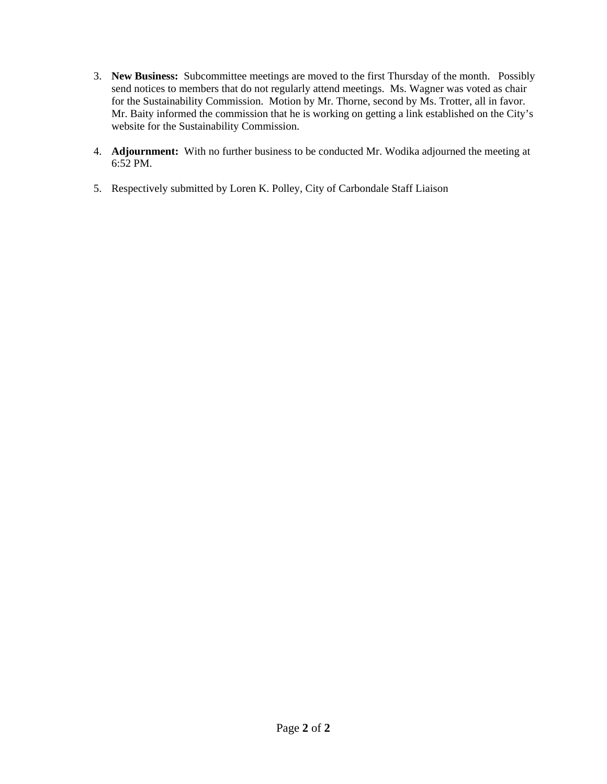- 3. **New Business:** Subcommittee meetings are moved to the first Thursday of the month. Possibly send notices to members that do not regularly attend meetings. Ms. Wagner was voted as chair for the Sustainability Commission. Motion by Mr. Thorne, second by Ms. Trotter, all in favor. Mr. Baity informed the commission that he is working on getting a link established on the City's website for the Sustainability Commission.
- 4. **Adjournment:** With no further business to be conducted Mr. Wodika adjourned the meeting at 6:52 PM.
- 5. Respectively submitted by Loren K. Polley, City of Carbondale Staff Liaison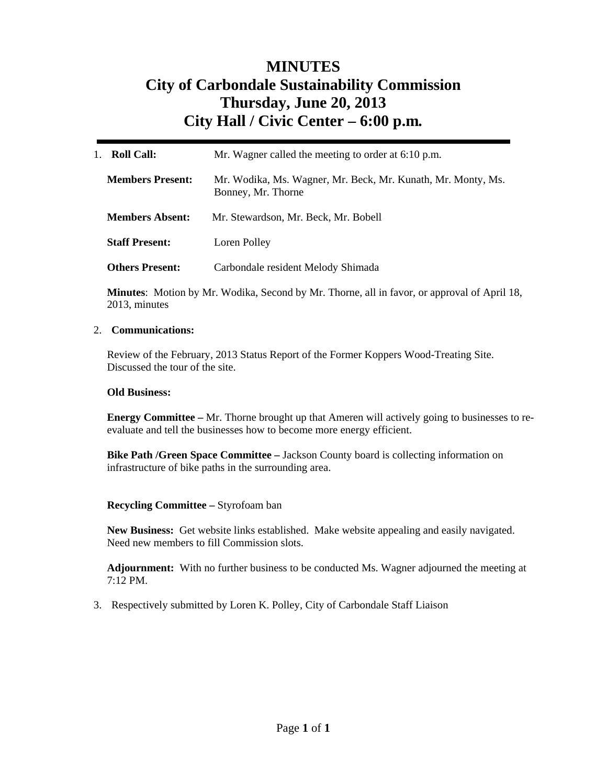## **MINUTES City of Carbondale Sustainability Commission Thursday, June 20, 2013 City Hall / Civic Center – 6:00 p.m***.*

| <b>Roll Call:</b><br>$1_{-}$ | Mr. Wagner called the meeting to order at 6:10 p.m.                                |
|------------------------------|------------------------------------------------------------------------------------|
| <b>Members Present:</b>      | Mr. Wodika, Ms. Wagner, Mr. Beck, Mr. Kunath, Mr. Monty, Ms.<br>Bonney, Mr. Thorne |
| <b>Members Absent:</b>       | Mr. Stewardson, Mr. Beck, Mr. Bobell                                               |
| <b>Staff Present:</b>        | Loren Polley                                                                       |
| <b>Others Present:</b>       | Carbondale resident Melody Shimada                                                 |

**Minutes**: Motion by Mr. Wodika, Second by Mr. Thorne, all in favor, or approval of April 18, 2013, minutes

#### 2. **Communications:**

Review of the February, 2013 Status Report of the Former Koppers Wood-Treating Site. Discussed the tour of the site.

#### **Old Business:**

**Energy Committee –** Mr. Thorne brought up that Ameren will actively going to businesses to reevaluate and tell the businesses how to become more energy efficient.

**Bike Path /Green Space Committee –** Jackson County board is collecting information on infrastructure of bike paths in the surrounding area.

#### **Recycling Committee –** Styrofoam ban

**New Business:** Get website links established. Make website appealing and easily navigated. Need new members to fill Commission slots.

**Adjournment:** With no further business to be conducted Ms. Wagner adjourned the meeting at  $7.12 \text{ PM}$ 

3. Respectively submitted by Loren K. Polley, City of Carbondale Staff Liaison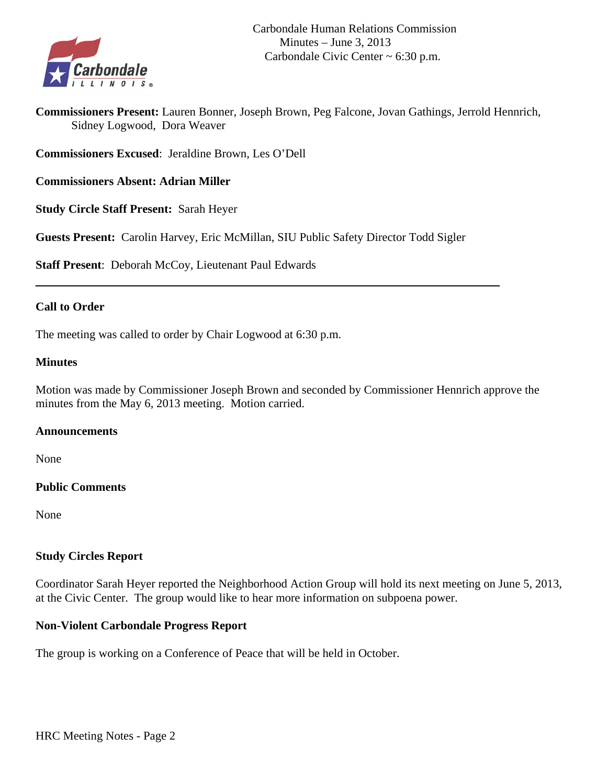

**Commissioners Present:** Lauren Bonner, Joseph Brown, Peg Falcone, Jovan Gathings, Jerrold Hennrich, Sidney Logwood, Dora Weaver

**Commissioners Excused**: Jeraldine Brown, Les O'Dell

**Commissioners Absent: Adrian Miller** 

**Study Circle Staff Present:** Sarah Heyer

**Guests Present:** Carolin Harvey, Eric McMillan, SIU Public Safety Director Todd Sigler

**Staff Present**: Deborah McCoy, Lieutenant Paul Edwards

### **Call to Order**

The meeting was called to order by Chair Logwood at 6:30 p.m.

#### **Minutes**

Motion was made by Commissioner Joseph Brown and seconded by Commissioner Hennrich approve the minutes from the May 6, 2013 meeting. Motion carried.

#### **Announcements**

None

### **Public Comments**

None

### **Study Circles Report**

Coordinator Sarah Heyer reported the Neighborhood Action Group will hold its next meeting on June 5, 2013, at the Civic Center. The group would like to hear more information on subpoena power.

### **Non-Violent Carbondale Progress Report**

The group is working on a Conference of Peace that will be held in October.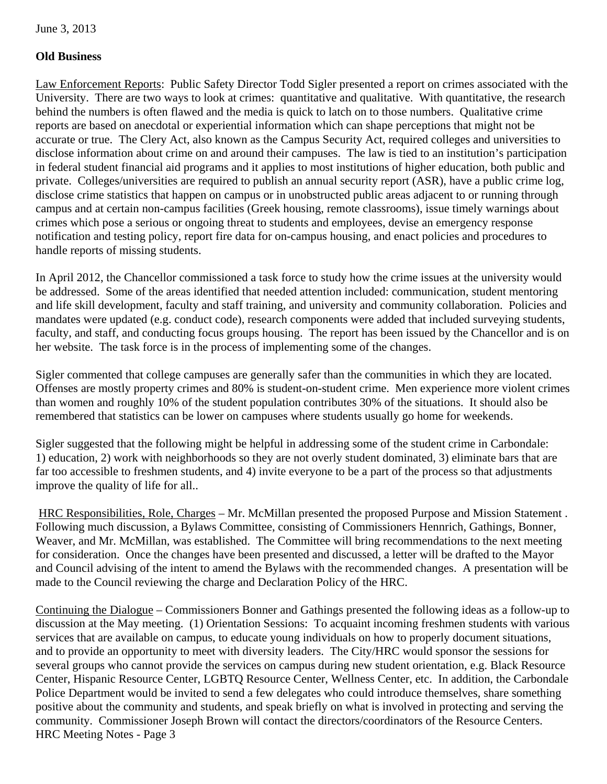## **Old Business**

Law Enforcement Reports: Public Safety Director Todd Sigler presented a report on crimes associated with the University. There are two ways to look at crimes: quantitative and qualitative. With quantitative, the research behind the numbers is often flawed and the media is quick to latch on to those numbers. Qualitative crime reports are based on anecdotal or experiential information which can shape perceptions that might not be accurate or true. The Clery Act, also known as the Campus Security Act, required colleges and universities to disclose information about crime on and around their campuses. The law is tied to an institution's participation in federal student financial aid programs and it applies to most institutions of higher education, both public and private. Colleges/universities are required to publish an annual security report (ASR), have a public crime log, disclose crime statistics that happen on campus or in unobstructed public areas adjacent to or running through campus and at certain non-campus facilities (Greek housing, remote classrooms), issue timely warnings about crimes which pose a serious or ongoing threat to students and employees, devise an emergency response notification and testing policy, report fire data for on-campus housing, and enact policies and procedures to handle reports of missing students.

In April 2012, the Chancellor commissioned a task force to study how the crime issues at the university would be addressed. Some of the areas identified that needed attention included: communication, student mentoring and life skill development, faculty and staff training, and university and community collaboration. Policies and mandates were updated (e.g. conduct code), research components were added that included surveying students, faculty, and staff, and conducting focus groups housing. The report has been issued by the Chancellor and is on her website. The task force is in the process of implementing some of the changes.

Sigler commented that college campuses are generally safer than the communities in which they are located. Offenses are mostly property crimes and 80% is student-on-student crime. Men experience more violent crimes than women and roughly 10% of the student population contributes 30% of the situations. It should also be remembered that statistics can be lower on campuses where students usually go home for weekends.

Sigler suggested that the following might be helpful in addressing some of the student crime in Carbondale: 1) education, 2) work with neighborhoods so they are not overly student dominated, 3) eliminate bars that are far too accessible to freshmen students, and 4) invite everyone to be a part of the process so that adjustments improve the quality of life for all..

 HRC Responsibilities, Role, Charges – Mr. McMillan presented the proposed Purpose and Mission Statement . Following much discussion, a Bylaws Committee, consisting of Commissioners Hennrich, Gathings, Bonner, Weaver, and Mr. McMillan, was established. The Committee will bring recommendations to the next meeting for consideration. Once the changes have been presented and discussed, a letter will be drafted to the Mayor and Council advising of the intent to amend the Bylaws with the recommended changes. A presentation will be made to the Council reviewing the charge and Declaration Policy of the HRC.

Continuing the Dialogue – Commissioners Bonner and Gathings presented the following ideas as a follow-up to discussion at the May meeting. (1) Orientation Sessions: To acquaint incoming freshmen students with various services that are available on campus, to educate young individuals on how to properly document situations, and to provide an opportunity to meet with diversity leaders. The City/HRC would sponsor the sessions for several groups who cannot provide the services on campus during new student orientation, e.g. Black Resource Center, Hispanic Resource Center, LGBTQ Resource Center, Wellness Center, etc. In addition, the Carbondale Police Department would be invited to send a few delegates who could introduce themselves, share something positive about the community and students, and speak briefly on what is involved in protecting and serving the community. Commissioner Joseph Brown will contact the directors/coordinators of the Resource Centers. HRC Meeting Notes - Page 3